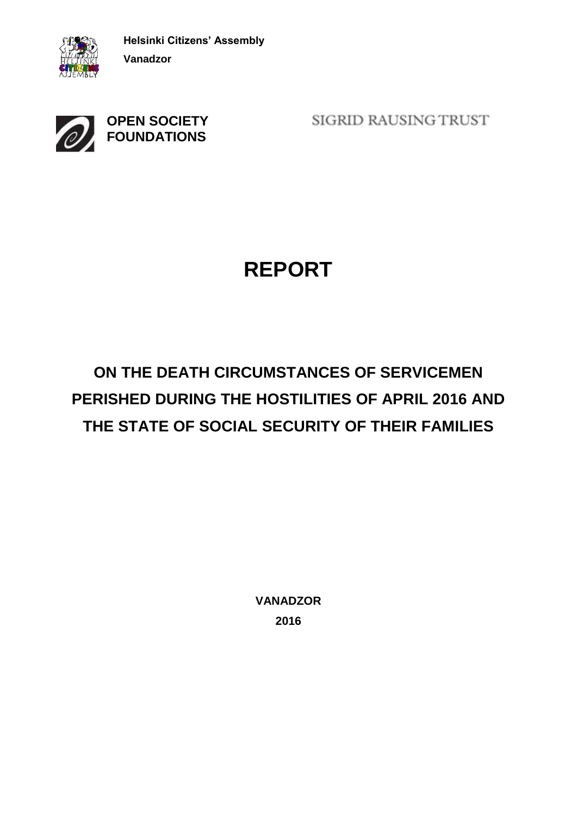



SIGRID RAUSING TRUST

# **REPORT**

# **ON THE DEATH CIRCUMSTANCES OF SERVICEMEN PERISHED DURING THE HOSTILITIES OF APRIL 2016 AND THE STATE OF SOCIAL SECURITY OF THEIR FAMILIES**

**VANADZOR 2016**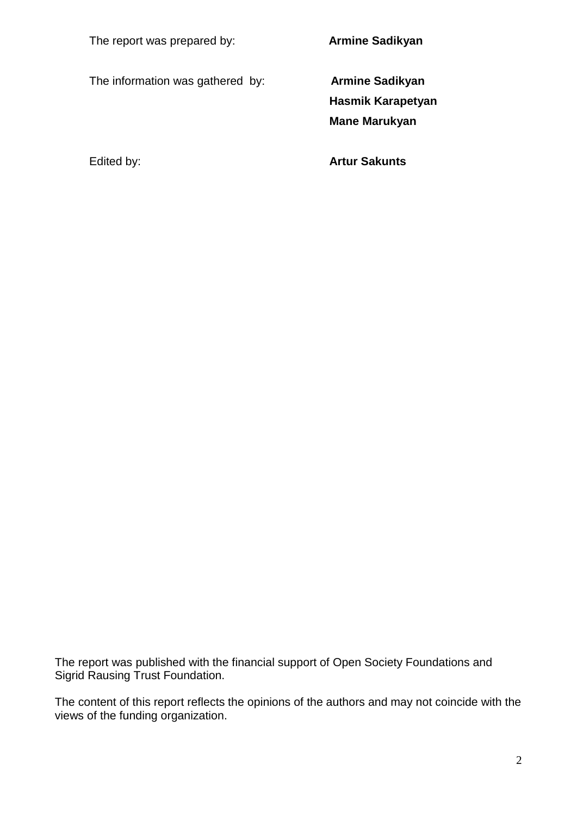The information was gathered by: **Armine Sadikyan**

**Armine Sadikyan** 

**Hasmik Karapetyan Mane Marukyan** 

Edited by: **Artur Sakunts** 

The report was published with the financial support of Open Society Foundations and Sigrid Rausing Trust Foundation.

The content of this report reflects the opinions of the authors and may not coincide with the views of the funding organization.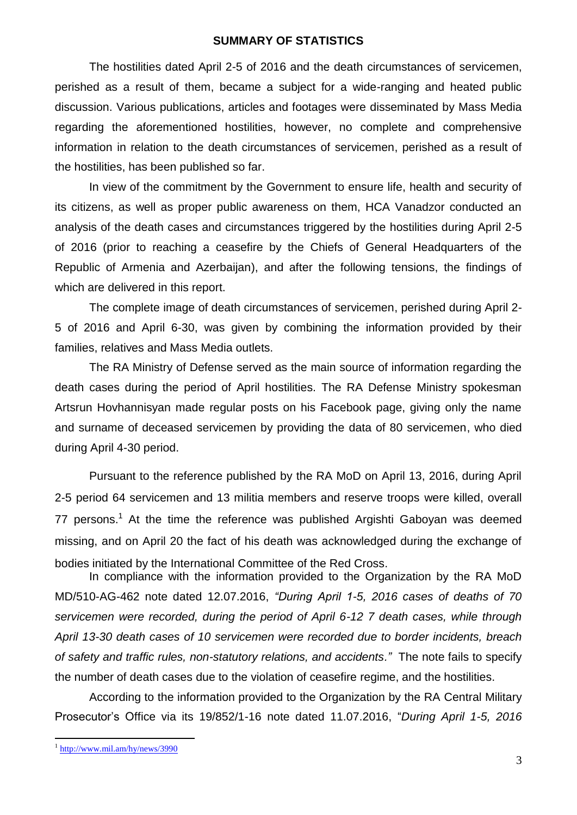#### **SUMMARY OF STATISTICS**

The hostilities dated April 2-5 of 2016 and the death circumstances of servicemen, perished as a result of them, became a subject for a wide-ranging and heated public discussion. Various publications, articles and footages were disseminated by Mass Media regarding the aforementioned hostilities, however, no complete and comprehensive information in relation to the death circumstances of servicemen, perished as a result of the hostilities, has been published so far.

In view of the commitment by the Government to ensure life, health and security of its citizens, as well as proper public awareness on them, HCA Vanadzor conducted an analysis of the death cases and circumstances triggered by the hostilities during April 2-5 of 2016 (prior to reaching a ceasefire by the Chiefs of General Headquarters of the Republic of Armenia and Azerbaijan), and after the following tensions, the findings of which are delivered in this report.

The complete image of death circumstances of servicemen, perished during April 2- 5 of 2016 and April 6-30, was given by combining the information provided by their families, relatives and Mass Media outlets.

The RA Ministry of Defense served as the main source of information regarding the death cases during the period of April hostilities. The RA Defense Ministry spokesman Artsrun Hovhannisyan made regular posts on his Facebook page, giving only the name and surname of deceased servicemen by providing the data of 80 servicemen, who died during April 4-30 period.

Pursuant to the reference published by the RA MoD on April 13, 2016, during April 2-5 period 64 servicemen and 13 militia members and reserve troops were killed, overall 77 persons.<sup>1</sup> At the time the reference was published Argishti Gaboyan was deemed missing, and on April 20 the fact of his death was acknowledged during the exchange of bodies initiated by the International Committee of the Red Cross.

In compliance with the information provided to the Organization by the RA MoD MD/510-AG-462 note dated 12.07.2016, *"During April 1-5, 2016 cases of deaths of 70 servicemen were recorded, during the period of April 6-12 7 death cases, while through April 13-30 death cases of 10 servicemen were recorded due to border incidents, breach of safety and traffic rules, non-statutory relations, and accidents."* The note fails to specify the number of death cases due to the violation of ceasefire regime, and the hostilities.

According to the information provided to the Organization by the RA Central Military Prosecutor's Office via its 19/852/1-16 note dated 11.07.2016, "*During April 1-5, 2016* 

1

<sup>&</sup>lt;sup>1</sup> <http://www.mil.am/hy/news/3990>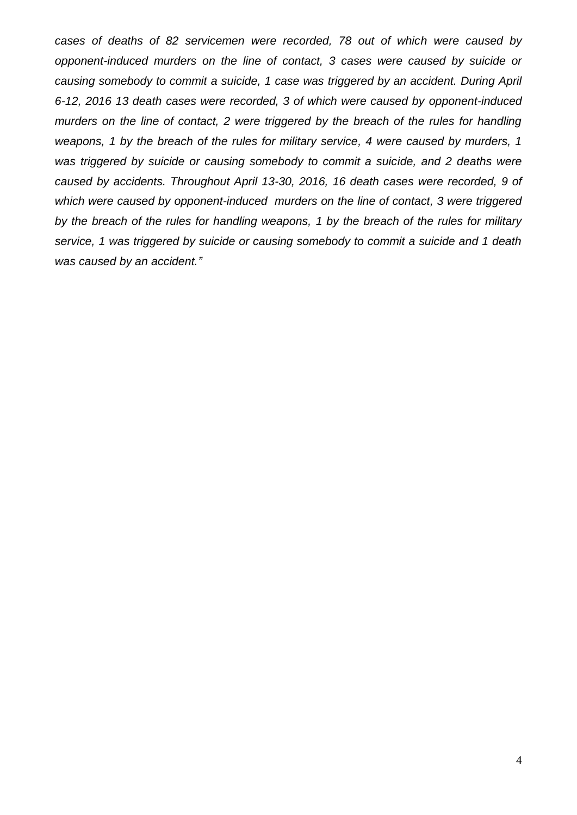*cases of deaths of 82 servicemen were recorded, 78 out of which were caused by opponent-induced murders on the line of contact, 3 cases were caused by suicide or causing somebody to commit a suicide, 1 case was triggered by an accident. During April 6-12, 2016 13 death cases were recorded, 3 of which were caused by opponent-induced murders on the line of contact, 2 were triggered by the breach of the rules for handling weapons, 1 by the breach of the rules for military service, 4 were caused by murders, 1*  was triggered by suicide or causing somebody to commit a suicide, and 2 deaths were *caused by accidents. Throughout April 13-30, 2016, 16 death cases were recorded, 9 of which were caused by opponent-induced murders on the line of contact, 3 were triggered by the breach of the rules for handling weapons, 1 by the breach of the rules for military service, 1 was triggered by suicide or causing somebody to commit a suicide and 1 death was caused by an accident."*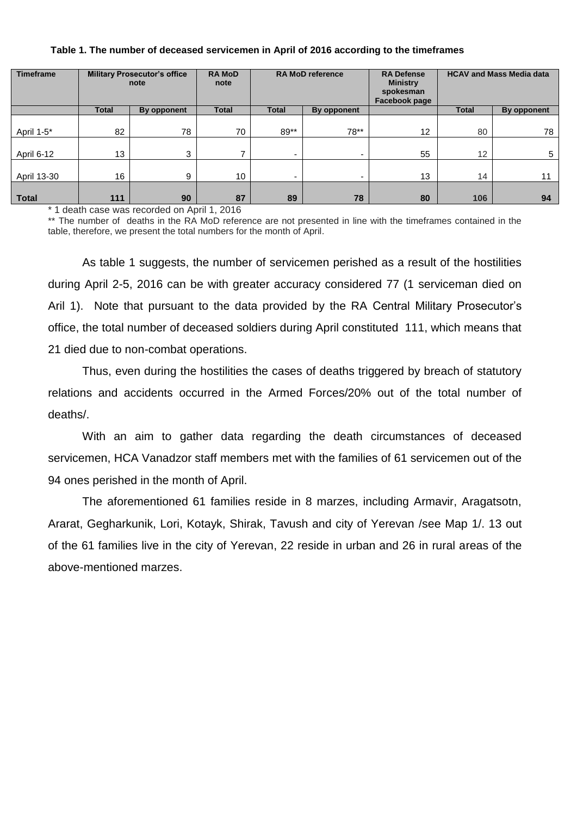|  | Table 1. The number of deceased servicemen in April of 2016 according to the timeframes |  |
|--|-----------------------------------------------------------------------------------------|--|
|  |                                                                                         |  |

| <b>Timeframe</b> | <b>Military Prosecutor's office</b><br>note |             | <b>RAMOD</b><br>note | <b>RA MoD reference</b> |             | <b>RA Defense</b><br><b>Ministry</b><br>spokesman<br>Facebook page | <b>HCAV and Mass Media data</b> |             |
|------------------|---------------------------------------------|-------------|----------------------|-------------------------|-------------|--------------------------------------------------------------------|---------------------------------|-------------|
|                  | Total                                       | By opponent | <b>Total</b>         | <b>Total</b>            | By opponent |                                                                    | <b>Total</b>                    | By opponent |
| April 1-5*       | 82                                          | 78          | 70                   | $89**$                  | 78**        | 12                                                                 | 80                              | 78          |
| April 6-12       | 13                                          | 3           |                      |                         | ۰           | 55                                                                 | 12                              | 5           |
| April 13-30      | 16                                          | 9           | 10                   | -                       | ۰           | 13                                                                 | 14                              | 11          |
| <b>Total</b>     | 111                                         | 90          | 87                   | 89                      | 78          | 80                                                                 | 106                             | 94          |

\* 1 death case was recorded on April 1, 2016

\*\* The number of deaths in the RA MoD reference are not presented in line with the timeframes contained in the table, therefore, we present the total numbers for the month of April.

As table 1 suggests, the number of servicemen perished as a result of the hostilities during April 2-5, 2016 can be with greater accuracy considered 77 (1 serviceman died on Aril 1). Note that pursuant to the data provided by the RA Central Military Prosecutor's office, the total number of deceased soldiers during April constituted 111, which means that 21 died due to non-combat operations.

Thus, even during the hostilities the cases of deaths triggered by breach of statutory relations and accidents occurred in the Armed Forces/20% out of the total number of deaths/.

With an aim to gather data regarding the death circumstances of deceased servicemen, HCA Vanadzor staff members met with the families of 61 servicemen out of the 94 ones perished in the month of April.

The aforementioned 61 families reside in 8 marzes, including Armavir, Aragatsotn, Ararat, Gegharkunik, Lori, Kotayk, Shirak, Tavush and city of Yerevan /see Map 1/. 13 out of the 61 families live in the city of Yerevan, 22 reside in urban and 26 in rural areas of the above-mentioned marzes.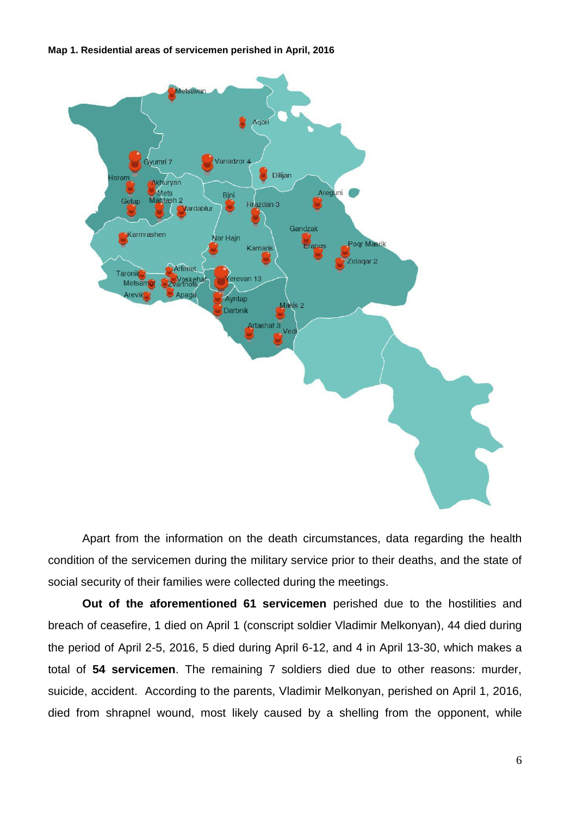**Map 1. Residential areas of servicemen perished in April, 2016** 



Apart from the information on the death circumstances, data regarding the health condition of the servicemen during the military service prior to their deaths, and the state of social security of their families were collected during the meetings.

**Out of the aforementioned 61 servicemen** perished due to the hostilities and breach of ceasefire, 1 died on April 1 (conscript soldier Vladimir Melkonyan), 44 died during the period of April 2-5, 2016, 5 died during April 6-12, and 4 in April 13-30, which makes a total of **54 servicemen**. The remaining 7 soldiers died due to other reasons: murder, suicide, accident. According to the parents, Vladimir Melkonyan, perished on April 1, 2016, died from shrapnel wound, most likely caused by a shelling from the opponent, while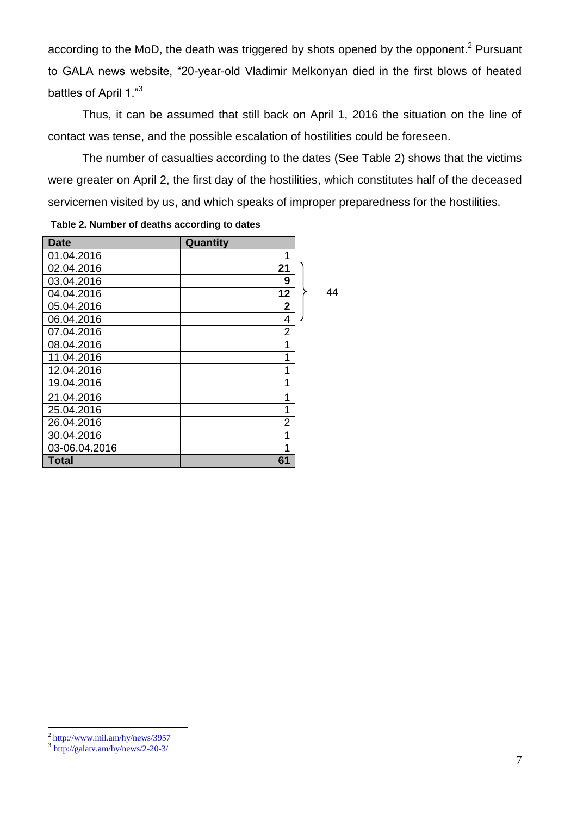according to the MoD, the death was triggered by shots opened by the opponent.<sup>2</sup> Pursuant to GALA news website, "20-year-old Vladimir Melkonyan died in the first blows of heated battles of April 1."<sup>3</sup>

Thus, it can be assumed that still back on April 1, 2016 the situation on the line of contact was tense, and the possible escalation of hostilities could be foreseen.

The number of casualties according to the dates (See Table 2) shows that the victims were greater on April 2, the first day of the hostilities, which constitutes half of the deceased servicemen visited by us, and which speaks of improper preparedness for the hostilities.

44

| <b>Date</b>   | Quantity       |
|---------------|----------------|
| 01.04.2016    | 1              |
| 02.04.2016    | 21             |
| 03.04.2016    | 9              |
| 04.04.2016    | 12             |
| 05.04.2016    | 2              |
| 06.04.2016    | 4              |
| 07.04.2016    | 2              |
| 08.04.2016    | 1              |
| 11.04.2016    | 1              |
| 12.04.2016    | 1              |
| 19.04.2016    | 1              |
| 21.04.2016    | 1              |
| 25.04.2016    | 1              |
| 26.04.2016    | $\overline{2}$ |
| 30.04.2016    | 1              |
| 03-06.04.2016 | 1              |
| Total         | 61             |

#### **Table 2. Number of deaths according to dates**

 $\overline{a}$ 

<sup>&</sup>lt;sup>2</sup> <http://www.mil.am/hy/news/3957>

 $\frac{3 \text{ http://galatv.am/hy/news/2-20-3}}{2 \text{http://galatv.am/hy/news/2-20-3}}$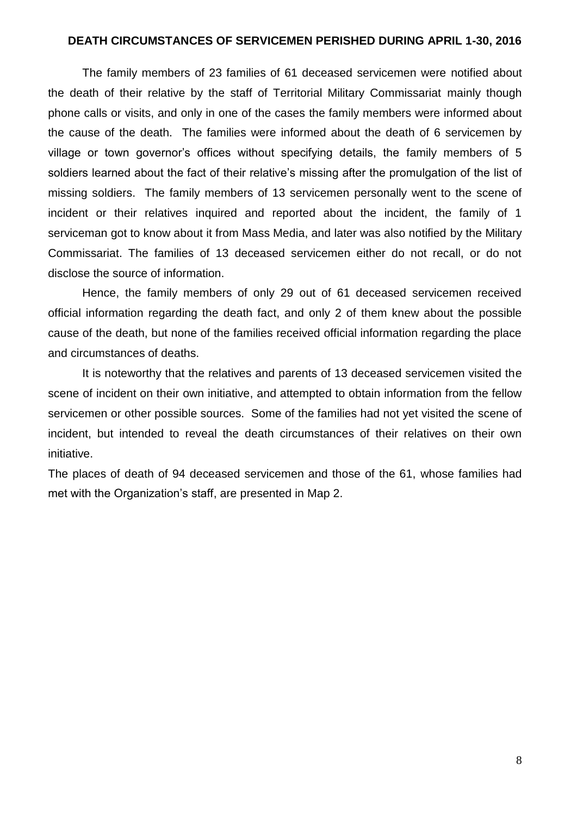#### **DEATH CIRCUMSTANCES OF SERVICEMEN PERISHED DURING APRIL 1-30, 2016**

The family members of 23 families of 61 deceased servicemen were notified about the death of their relative by the staff of Territorial Military Commissariat mainly though phone calls or visits, and only in one of the cases the family members were informed about the cause of the death. The families were informed about the death of 6 servicemen by village or town governor's offices without specifying details, the family members of 5 soldiers learned about the fact of their relative's missing after the promulgation of the list of missing soldiers. The family members of 13 servicemen personally went to the scene of incident or their relatives inquired and reported about the incident, the family of 1 serviceman got to know about it from Mass Media, and later was also notified by the Military Commissariat. The families of 13 deceased servicemen either do not recall, or do not disclose the source of information.

Hence, the family members of only 29 out of 61 deceased servicemen received official information regarding the death fact, and only 2 of them knew about the possible cause of the death, but none of the families received official information regarding the place and circumstances of deaths.

It is noteworthy that the relatives and parents of 13 deceased servicemen visited the scene of incident on their own initiative, and attempted to obtain information from the fellow servicemen or other possible sources. Some of the families had not yet visited the scene of incident, but intended to reveal the death circumstances of their relatives on their own initiative.

The places of death of 94 deceased servicemen and those of the 61, whose families had met with the Organization's staff, are presented in Map 2.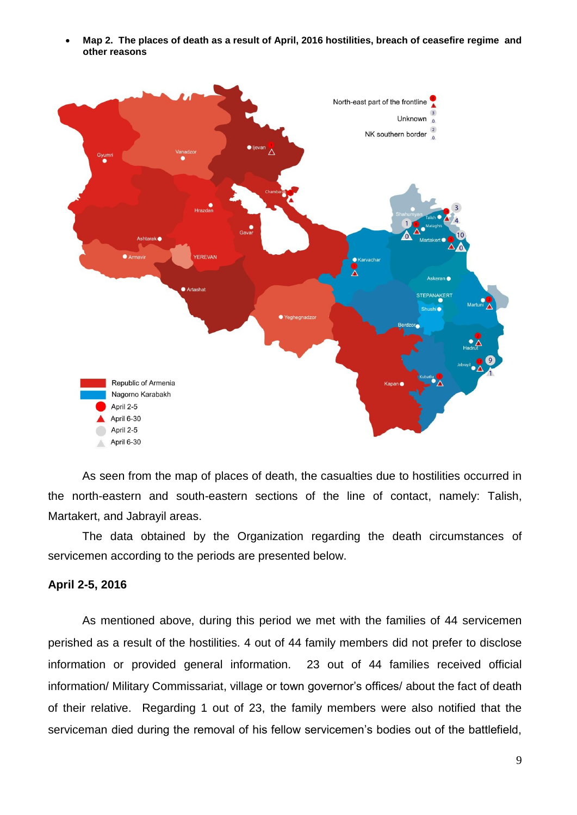**Map 2. The places of death as a result of April, 2016 hostilities, breach of ceasefire regime and other reasons** 



As seen from the map of places of death, the casualties due to hostilities occurred in the north-eastern and south-eastern sections of the line of contact, namely: Talish, Martakert, and Jabrayil areas.

The data obtained by the Organization regarding the death circumstances of servicemen according to the periods are presented below.

### **April 2-5, 2016**

As mentioned above, during this period we met with the families of 44 servicemen perished as a result of the hostilities. 4 out of 44 family members did not prefer to disclose information or provided general information. 23 out of 44 families received official information/ Military Commissariat, village or town governor's offices/ about the fact of death of their relative. Regarding 1 out of 23, the family members were also notified that the serviceman died during the removal of his fellow servicemen's bodies out of the battlefield,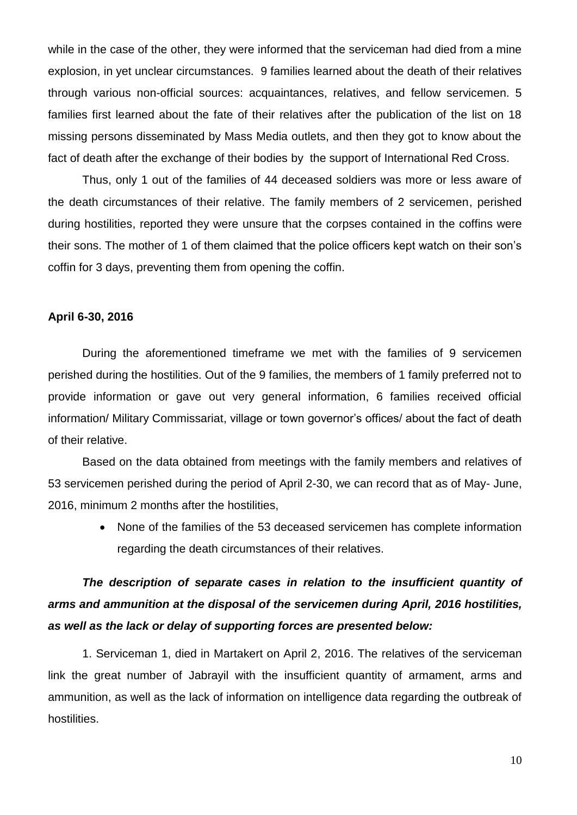while in the case of the other, they were informed that the serviceman had died from a mine explosion, in yet unclear circumstances. 9 families learned about the death of their relatives through various non-official sources: acquaintances, relatives, and fellow servicemen. 5 families first learned about the fate of their relatives after the publication of the list on 18 missing persons disseminated by Mass Media outlets, and then they got to know about the fact of death after the exchange of their bodies by the support of International Red Cross.

Thus, only 1 out of the families of 44 deceased soldiers was more or less aware of the death circumstances of their relative. The family members of 2 servicemen, perished during hostilities, reported they were unsure that the corpses contained in the coffins were their sons. The mother of 1 of them claimed that the police officers kept watch on their son's coffin for 3 days, preventing them from opening the coffin.

#### **April 6-30, 2016**

During the aforementioned timeframe we met with the families of 9 servicemen perished during the hostilities. Out of the 9 families, the members of 1 family preferred not to provide information or gave out very general information, 6 families received official information/ Military Commissariat, village or town governor's offices/ about the fact of death of their relative.

Based on the data obtained from meetings with the family members and relatives of 53 servicemen perished during the period of April 2-30, we can record that as of May- June, 2016, minimum 2 months after the hostilities,

> None of the families of the 53 deceased servicemen has complete information regarding the death circumstances of their relatives.

## *The description of separate cases in relation to the insufficient quantity of arms and ammunition at the disposal of the servicemen during April, 2016 hostilities, as well as the lack or delay of supporting forces are presented below:*

1. Serviceman 1, died in Martakert on April 2, 2016. The relatives of the serviceman link the great number of Jabrayil with the insufficient quantity of armament, arms and ammunition, as well as the lack of information on intelligence data regarding the outbreak of hostilities.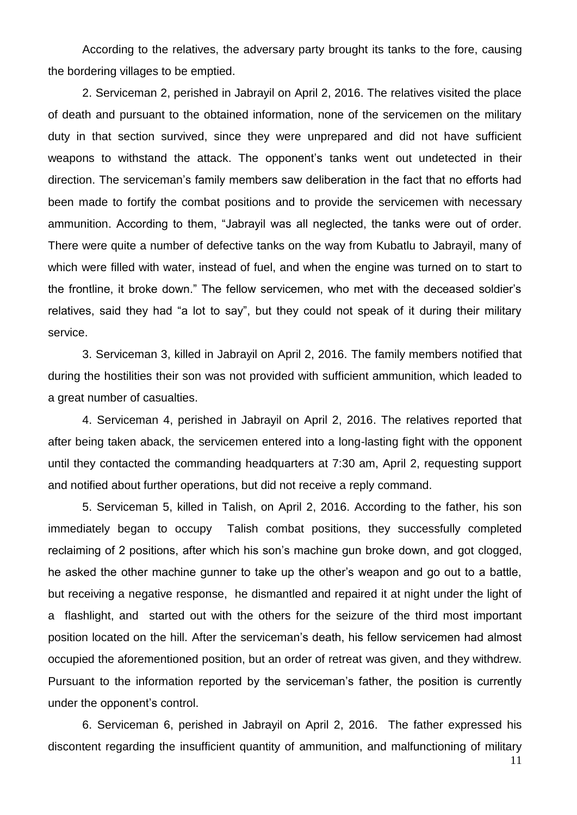According to the relatives, the adversary party brought its tanks to the fore, causing the bordering villages to be emptied.

2. Serviceman 2, perished in Jabrayil on April 2, 2016. The relatives visited the place of death and pursuant to the obtained information, none of the servicemen on the military duty in that section survived, since they were unprepared and did not have sufficient weapons to withstand the attack. The opponent's tanks went out undetected in their direction. The serviceman's family members saw deliberation in the fact that no efforts had been made to fortify the combat positions and to provide the servicemen with necessary ammunition. According to them, "Jabrayil was all neglected, the tanks were out of order. There were quite a number of defective tanks on the way from Kubatlu to Jabrayil, many of which were filled with water, instead of fuel, and when the engine was turned on to start to the frontline, it broke down." The fellow servicemen, who met with the deceased soldier's relatives, said they had "a lot to say", but they could not speak of it during their military service.

3. Serviceman 3, killed in Jabrayil on April 2, 2016. The family members notified that during the hostilities their son was not provided with sufficient ammunition, which leaded to a great number of casualties.

4. Serviceman 4, perished in Jabrayil on April 2, 2016. The relatives reported that after being taken aback, the servicemen entered into a long-lasting fight with the opponent until they contacted the commanding headquarters at 7:30 am, April 2, requesting support and notified about further operations, but did not receive a reply command.

5. Serviceman 5, killed in Talish, on April 2, 2016. According to the father, his son immediately began to occupy Talish combat positions, they successfully completed reclaiming of 2 positions, after which his son's machine gun broke down, and got clogged, he asked the other machine gunner to take up the other's weapon and go out to a battle, but receiving a negative response, he dismantled and repaired it at night under the light of a flashlight, and started out with the others for the seizure of the third most important position located on the hill. After the serviceman's death, his fellow servicemen had almost occupied the aforementioned position, but an order of retreat was given, and they withdrew. Pursuant to the information reported by the serviceman's father, the position is currently under the opponent's control.

6. Serviceman 6, perished in Jabrayil on April 2, 2016. The father expressed his discontent regarding the insufficient quantity of ammunition, and malfunctioning of military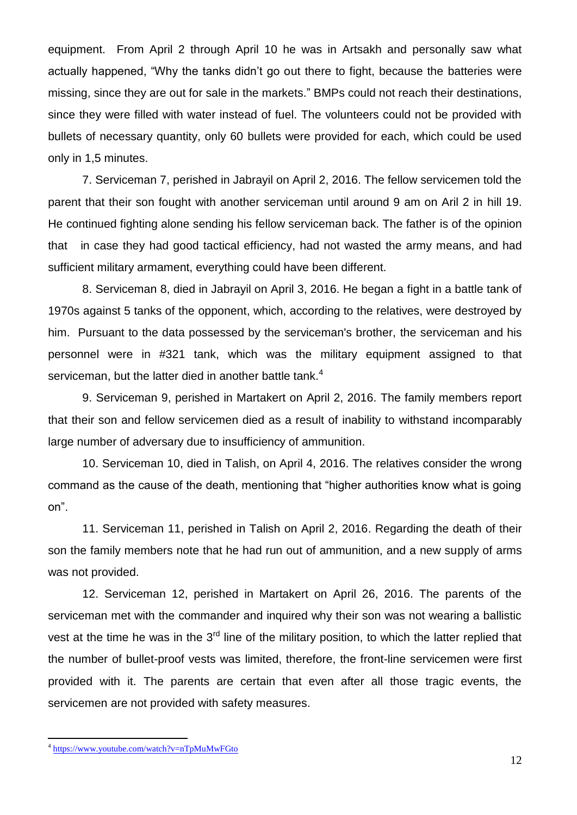equipment. From April 2 through April 10 he was in Artsakh and personally saw what actually happened, "Why the tanks didn't go out there to fight, because the batteries were missing, since they are out for sale in the markets." BMPs could not reach their destinations, since they were filled with water instead of fuel. The volunteers could not be provided with bullets of necessary quantity, only 60 bullets were provided for each, which could be used only in 1,5 minutes.

7. Serviceman 7, perished in Jabrayil on April 2, 2016. The fellow servicemen told the parent that their son fought with another serviceman until around 9 am on Aril 2 in hill 19. He continued fighting alone sending his fellow serviceman back. The father is of the opinion that in case they had good tactical efficiency, had not wasted the army means, and had sufficient military armament, everything could have been different.

8. Serviceman 8, died in Jabrayil on April 3, 2016. He began a fight in a battle tank of 1970s against 5 tanks of the opponent, which, according to the relatives, were destroyed by him. Pursuant to the data possessed by the serviceman's brother, the serviceman and his personnel were in #321 tank, which was the military equipment assigned to that serviceman, but the latter died in another battle tank.<sup>4</sup>

9. Serviceman 9, perished in Martakert on April 2, 2016. The family members report that their son and fellow servicemen died as a result of inability to withstand incomparably large number of adversary due to insufficiency of ammunition.

10. Serviceman 10, died in Talish, on April 4, 2016. The relatives consider the wrong command as the cause of the death, mentioning that "higher authorities know what is going on".

11. Serviceman 11, perished in Talish on April 2, 2016. Regarding the death of their son the family members note that he had run out of ammunition, and a new supply of arms was not provided.

12. Serviceman 12, perished in Martakert on April 26, 2016. The parents of the serviceman met with the commander and inquired why their son was not wearing a ballistic vest at the time he was in the  $3<sup>rd</sup>$  line of the military position, to which the latter replied that the number of bullet-proof vests was limited, therefore, the front-line servicemen were first provided with it. The parents are certain that even after all those tragic events, the servicemen are not provided with safety measures.

 $\overline{a}$ 

<sup>&</sup>lt;sup>4</sup> <https://www.youtube.com/watch?v=nTpMuMwFGto>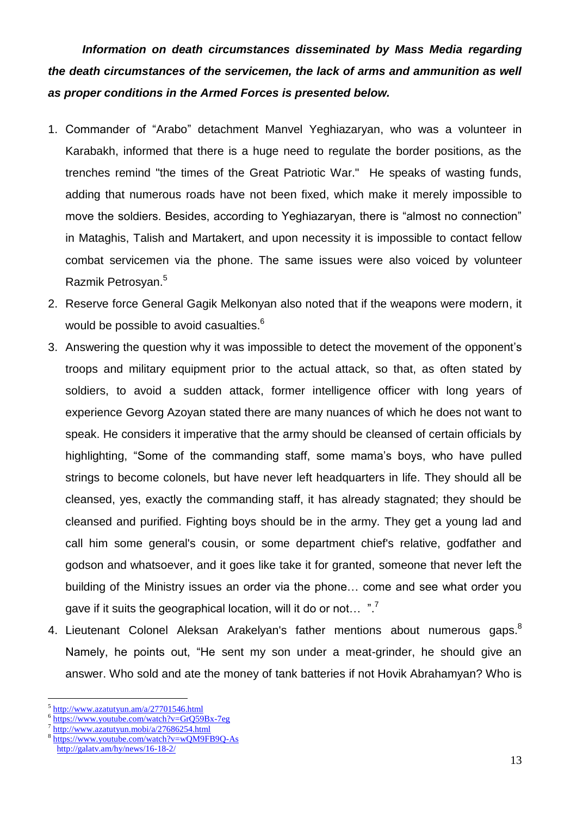*Information on death circumstances disseminated by Mass Media regarding the death circumstances of the servicemen, the lack of arms and ammunition as well as proper conditions in the Armed Forces is presented below.* 

- 1. Commander of "Arabo" detachment Manvel Yeghiazaryan, who was a volunteer in Karabakh, informed that there is a huge need to regulate the border positions, as the trenches remind "the times of the Great Patriotic War." He speaks of wasting funds, adding that numerous roads have not been fixed, which make it merely impossible to move the soldiers. Besides, according to Yeghiazaryan, there is "almost no connection" in Mataghis, Talish and Martakert, and upon necessity it is impossible to contact fellow combat servicemen via the phone. The same issues were also voiced by volunteer Razmik Petrosyan.<sup>5</sup>
- 2. Reserve force General Gagik Melkonyan also noted that if the weapons were modern, it would be possible to avoid casualties. $^6$
- 3. Answering the question why it was impossible to detect the movement of the opponent's troops and military equipment prior to the actual attack, so that, as often stated by soldiers, to avoid a sudden attack, former intelligence officer with long years of experience Gevorg Azoyan stated there are many nuances of which he does not want to speak. He considers it imperative that the army should be cleansed of certain officials by highlighting, "Some of the commanding staff, some mama's boys, who have pulled strings to become colonels, but have never left headquarters in life. They should all be cleansed, yes, exactly the commanding staff, it has already stagnated; they should be cleansed and purified. Fighting boys should be in the army. They get a young lad and call him some general's cousin, or some department chief's relative, godfather and godson and whatsoever, and it goes like take it for granted, someone that never left the building of the Ministry issues an order via the phone… come and see what order you gave if it suits the geographical location, will it do or not…  $\,$  ". $^7$
- 4. Lieutenant Colonel Aleksan Arakelyan's father mentions about numerous gaps. ${}^{8}$ Namely, he points out, "He sent my son under a meat-grinder, he should give an answer. Who sold and ate the money of tank batteries if not Hovik Abrahamyan? Who is

 $\overline{a}$ 

- 6 <https://www.youtube.com/watch?v=GrQ59Bx-7eg>
- 7 <http://www.azatutyun.mobi/a/27686254.html>

<sup>5</sup> <http://www.azatutyun.am/a/27701546.html>

<sup>8</sup> <https://www.youtube.com/watch?v=wQM9FB9Q-As> <http://galatv.am/hy/news/16-18-2/>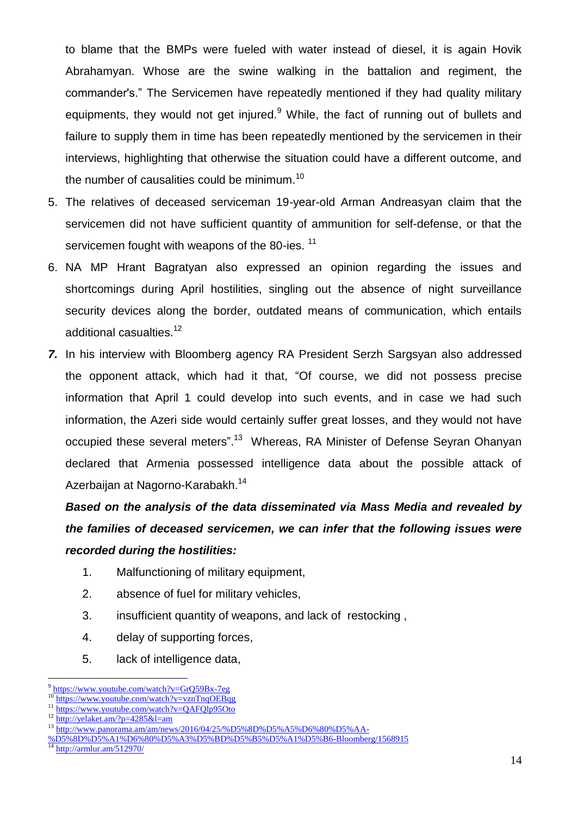to blame that the BMPs were fueled with water instead of diesel, it is again Hovik Abrahamyan. Whose are the swine walking in the battalion and regiment, the commander's." The Servicemen have repeatedly mentioned if they had quality military equipments, they would not get injured.<sup>9</sup> While, the fact of running out of bullets and failure to supply them in time has been repeatedly mentioned by the servicemen in their interviews, highlighting that otherwise the situation could have a different outcome, and the number of causalities could be minimum.<sup>10</sup>

- 5. The relatives of deceased serviceman 19-year-old Arman Andreasyan claim that the servicemen did not have sufficient quantity of ammunition for self-defense, or that the servicemen fought with weapons of the 80-ies.<sup>11</sup>
- 6. NA MP Hrant Bagratyan also expressed an opinion regarding the issues and shortcomings during April hostilities, singling out the absence of night surveillance security devices along the border, outdated means of communication, which entails additional casualties.<sup>12</sup>
- *7.* In his interview with Bloomberg agency RA President Serzh Sargsyan also addressed the opponent attack, which had it that, "Of course, we did not possess precise information that April 1 could develop into such events, and in case we had such information, the Azeri side would certainly suffer great losses, and they would not have occupied these several meters".<sup>13</sup> Whereas, RA Minister of Defense Seyran Ohanyan declared that Armenia possessed intelligence data about the possible attack of Azerbaijan at Nagorno-Karabakh.<sup>14</sup>

*Based on the analysis of the data disseminated via Mass Media and revealed by the families of deceased servicemen, we can infer that the following issues were recorded during the hostilities:*

- 1. Malfunctioning of military equipment,
- 2. absence of fuel for military vehicles,
- 3. insufficient quantity of weapons, and lack of restocking ,
- 4. delay of supporting forces,
- 5. lack of intelligence data,

<sup>14</sup> <http://armlur.am/512970/>

 $\overline{a}$ <sup>9</sup> <https://www.youtube.com/watch?v=GrQ59Bx-7eg>

<sup>&</sup>lt;sup>10</sup> <https://www.youtube.com/watch?v=vznTnqOEBqg><br><sup>11</sup> https://www.youtube.com/watch?v=QAEQb05Qto

<https://www.youtube.com/watch?v=QAFQlp95Oto>

<sup>12</sup> <http://yelaket.am/?p=4285&l=am>

<sup>13</sup> [http://www.panorama.am/am/news/2016/04/25/%D5%8D%D5%A5%D6%80%D5%AA-](http://www.panorama.am/am/news/2016/04/25/%D5%8D%D5%A5%D6%80%D5%AA-%D5%8D%D5%A1%D6%80%D5%A3%D5%BD%D5%B5%D5%A1%D5%B6-Bloomberg/1568915)

[<sup>%</sup>D5%8D%D5%A1%D6%80%D5%A3%D5%BD%D5%B5%D5%A1%D5%B6-Bloomberg/1568915](http://www.panorama.am/am/news/2016/04/25/%D5%8D%D5%A5%D6%80%D5%AA-%D5%8D%D5%A1%D6%80%D5%A3%D5%BD%D5%B5%D5%A1%D5%B6-Bloomberg/1568915)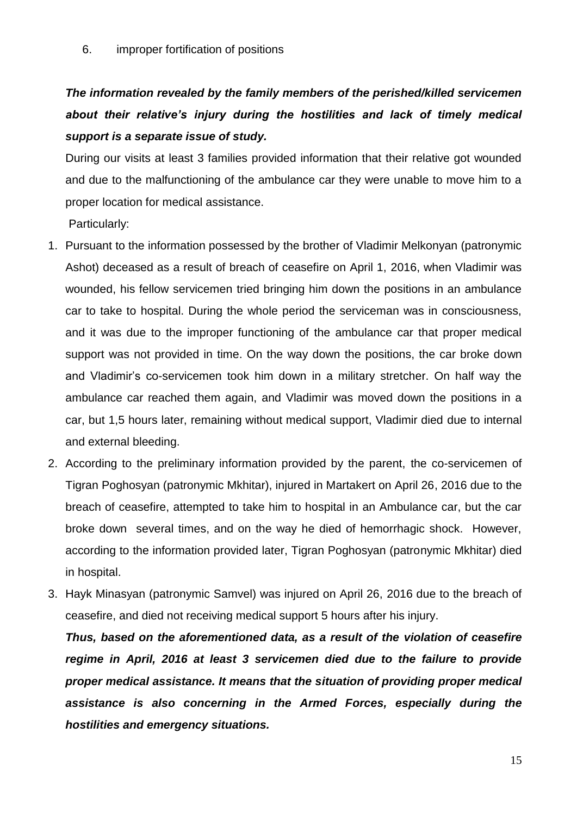6. improper fortification of positions

## *The information revealed by the family members of the perished/killed servicemen about their relative's injury during the hostilities and lack of timely medical support is a separate issue of study.*

During our visits at least 3 families provided information that their relative got wounded and due to the malfunctioning of the ambulance car they were unable to move him to a proper location for medical assistance.

Particularly:

- 1. Pursuant to the information possessed by the brother of Vladimir Melkonyan (patronymic Ashot) deceased as a result of breach of ceasefire on April 1, 2016, when Vladimir was wounded, his fellow servicemen tried bringing him down the positions in an ambulance car to take to hospital. During the whole period the serviceman was in consciousness, and it was due to the improper functioning of the ambulance car that proper medical support was not provided in time. On the way down the positions, the car broke down and Vladimir's co-servicemen took him down in a military stretcher. On half way the ambulance car reached them again, and Vladimir was moved down the positions in a car, but 1,5 hours later, remaining without medical support, Vladimir died due to internal and external bleeding.
- 2. According to the preliminary information provided by the parent, the co-servicemen of Tigran Poghosyan (patronymic Mkhitar), injured in Martakert on April 26, 2016 due to the breach of ceasefire, attempted to take him to hospital in an Ambulance car, but the car broke down several times, and on the way he died of hemorrhagic shock. However, according to the information provided later, Tigran Poghosyan (patronymic Mkhitar) died in hospital.
- 3. Hayk Minasyan (patronymic Samvel) was injured on April 26, 2016 due to the breach of ceasefire, and died not receiving medical support 5 hours after his injury.

*Thus, based on the aforementioned data, as a result of the violation of ceasefire regime in April, 2016 at least 3 servicemen died due to the failure to provide proper medical assistance. It means that the situation of providing proper medical assistance is also concerning in the Armed Forces, especially during the hostilities and emergency situations.*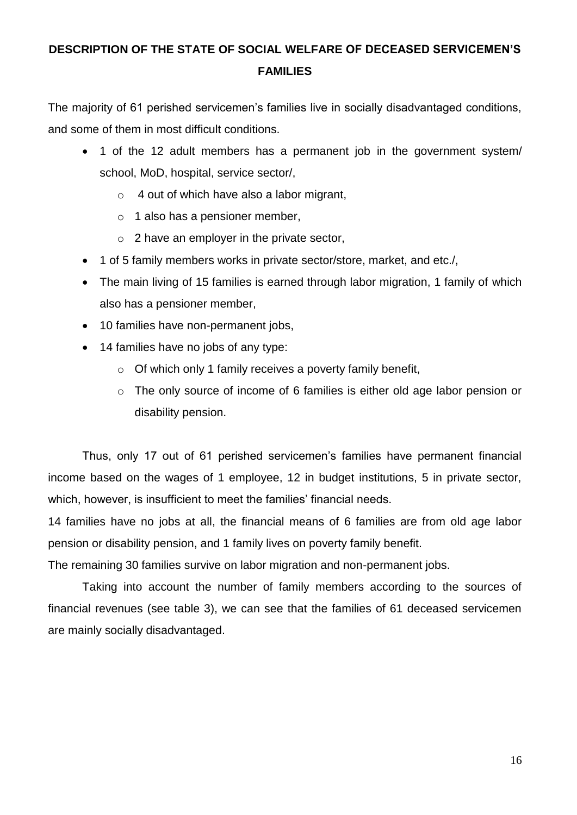### **DESCRIPTION OF THE STATE OF SOCIAL WELFARE OF DECEASED SERVICEMEN'S FAMILIES**

The majority of 61 perished servicemen's families live in socially disadvantaged conditions, and some of them in most difficult conditions.

- 1 of the 12 adult members has a permanent job in the government system/ school, MoD, hospital, service sector/,
	- o 4 out of which have also a labor migrant,
	- $\circ$  1 also has a pensioner member,
	- $\circ$  2 have an employer in the private sector,
- 1 of 5 family members works in private sector/store, market, and etc./,
- The main living of 15 families is earned through labor migration, 1 family of which also has a pensioner member,
- 10 families have non-permanent jobs,
- 14 families have no jobs of any type:
	- $\circ$  Of which only 1 family receives a poverty family benefit,
	- o The only source of income of 6 families is either old age labor pension or disability pension.

Thus, only 17 out of 61 perished servicemen's families have permanent financial income based on the wages of 1 employee, 12 in budget institutions, 5 in private sector, which, however, is insufficient to meet the families' financial needs.

14 families have no jobs at all, the financial means of 6 families are from old age labor pension or disability pension, and 1 family lives on poverty family benefit.

The remaining 30 families survive on labor migration and non-permanent jobs.

Taking into account the number of family members according to the sources of financial revenues (see table 3), we can see that the families of 61 deceased servicemen are mainly socially disadvantaged.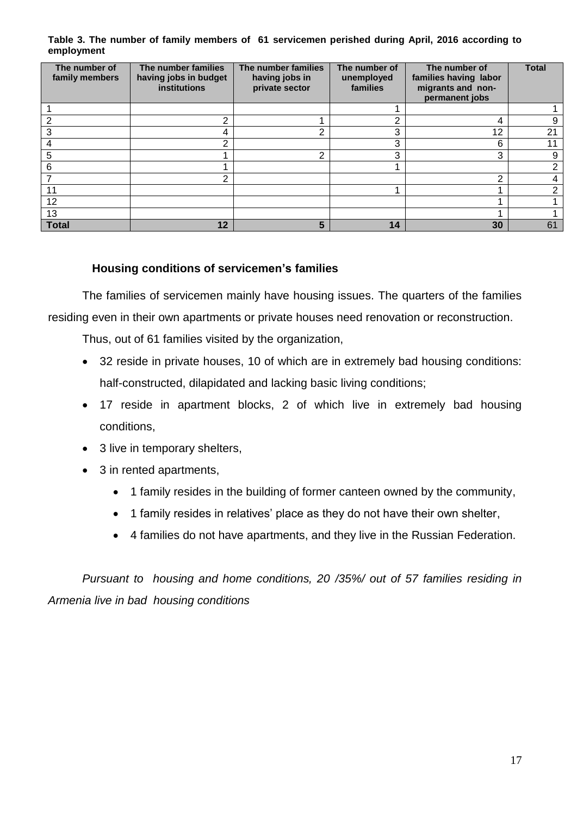**Table 3. The number of family members of 61 servicemen perished during April, 2016 according to employment** 

| The number of<br>family members | The number families<br>having jobs in budget<br>institutions | The number families<br>having jobs in<br>private sector | The number of<br>unemployed<br>families | The number of<br>families having labor<br>migrants and non-<br>permanent jobs | <b>Total</b> |
|---------------------------------|--------------------------------------------------------------|---------------------------------------------------------|-----------------------------------------|-------------------------------------------------------------------------------|--------------|
|                                 |                                                              |                                                         |                                         |                                                                               |              |
| っ                               | າ                                                            |                                                         | ⌒                                       | 4                                                                             | 9            |
| 3                               | 4                                                            | 2                                                       | 3                                       | 12                                                                            | 21           |
|                                 | 2                                                            |                                                         | 3                                       | 6                                                                             | 11           |
| 5                               |                                                              | $\overline{2}$                                          | 3                                       | 3                                                                             | 9            |
| 6                               |                                                              |                                                         |                                         |                                                                               | 2            |
|                                 | っ                                                            |                                                         |                                         | ົ                                                                             |              |
| 11                              |                                                              |                                                         |                                         |                                                                               | C            |
| 12                              |                                                              |                                                         |                                         |                                                                               |              |
| 13                              |                                                              |                                                         |                                         |                                                                               |              |
| <b>Total</b>                    | 12                                                           | 5                                                       | 14                                      | 30                                                                            | 61           |

### **Housing conditions of servicemen's families**

The families of servicemen mainly have housing issues. The quarters of the families residing even in their own apartments or private houses need renovation or reconstruction.

Thus, out of 61 families visited by the organization,

- 32 reside in private houses, 10 of which are in extremely bad housing conditions: half-constructed, dilapidated and lacking basic living conditions;
- 17 reside in apartment blocks, 2 of which live in extremely bad housing conditions,
- 3 live in temporary shelters,
- 3 in rented apartments,
	- 1 family resides in the building of former canteen owned by the community,
	- 1 family resides in relatives' place as they do not have their own shelter,
	- 4 families do not have apartments, and they live in the Russian Federation.

*Pursuant to housing and home conditions, 20 /35%/ out of 57 families residing in Armenia live in bad housing conditions*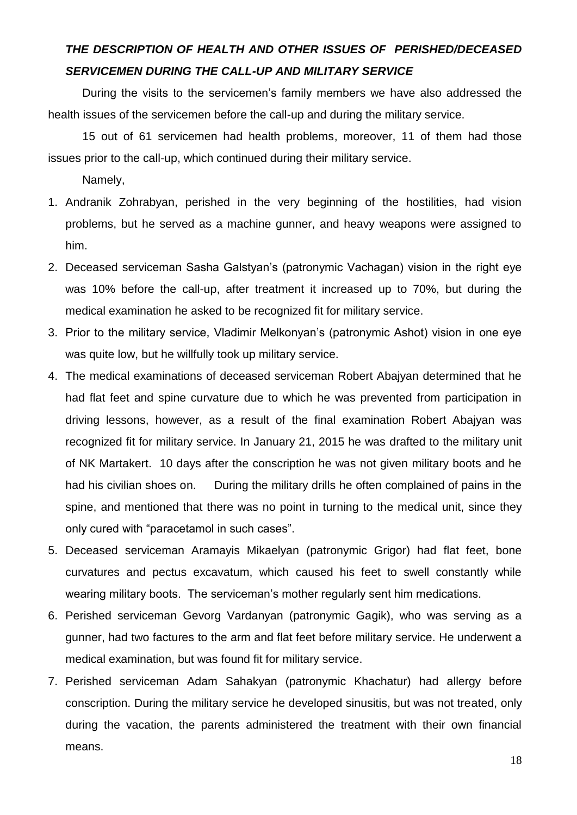### *THE DESCRIPTION OF HEALTH AND OTHER ISSUES OF PERISHED/DECEASED SERVICEMEN DURING THE CALL-UP AND MILITARY SERVICE*

During the visits to the servicemen's family members we have also addressed the health issues of the servicemen before the call-up and during the military service.

15 out of 61 servicemen had health problems, moreover, 11 of them had those issues prior to the call-up, which continued during their military service.

Namely,

- 1. Andranik Zohrabyan, perished in the very beginning of the hostilities, had vision problems, but he served as a machine gunner, and heavy weapons were assigned to him.
- 2. Deceased serviceman Sasha Galstyan's (patronymic Vachagan) vision in the right eye was 10% before the call-up, after treatment it increased up to 70%, but during the medical examination he asked to be recognized fit for military service.
- 3. Prior to the military service, Vladimir Melkonyan's (patronymic Ashot) vision in one eye was quite low, but he willfully took up military service.
- 4. The medical examinations of deceased serviceman Robert Abajyan determined that he had flat feet and spine curvature due to which he was prevented from participation in driving lessons, however, as a result of the final examination Robert Abajyan was recognized fit for military service. In January 21, 2015 he was drafted to the military unit of NK Martakert. 10 days after the conscription he was not given military boots and he had his civilian shoes on. During the military drills he often complained of pains in the spine, and mentioned that there was no point in turning to the medical unit, since they only cured with "paracetamol in such cases".
- 5. Deceased serviceman Aramayis Mikaelyan (patronymic Grigor) had flat feet, bone curvatures and pectus excavatum, which caused his feet to swell constantly while wearing military boots. The serviceman's mother regularly sent him medications.
- 6. Perished serviceman Gevorg Vardanyan (patronymic Gagik), who was serving as a gunner, had two factures to the arm and flat feet before military service. He underwent a medical examination, but was found fit for military service.
- 7. Perished serviceman Adam Sahakyan (patronymic Khachatur) had allergy before conscription. During the military service he developed sinusitis, but was not treated, only during the vacation, the parents administered the treatment with their own financial means.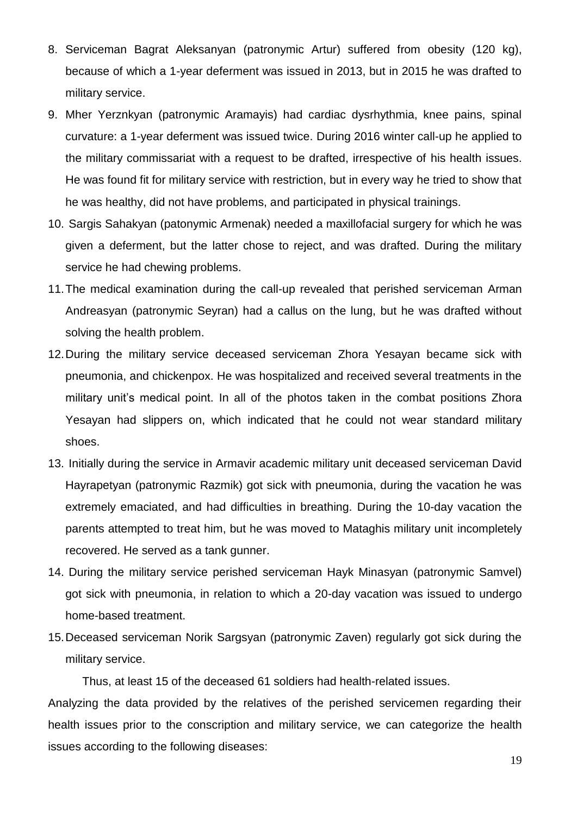- 8. Serviceman Bagrat Aleksanyan (patronymic Artur) suffered from obesity (120 kg), because of which a 1-year deferment was issued in 2013, but in 2015 he was drafted to military service.
- 9. Mher Yerznkyan (patronymic Aramayis) had cardiac dysrhythmia, knee pains, spinal curvature: a 1-year deferment was issued twice. During 2016 winter call-up he applied to the military commissariat with a request to be drafted, irrespective of his health issues. He was found fit for military service with restriction, but in every way he tried to show that he was healthy, did not have problems, and participated in physical trainings.
- 10. Sargis Sahakyan (patonymic Armenak) needed a maxillofacial surgery for which he was given a deferment, but the latter chose to reject, and was drafted. During the military service he had chewing problems.
- 11.The medical examination during the call-up revealed that perished serviceman Arman Andreasyan (patronymic Seyran) had a callus on the lung, but he was drafted without solving the health problem.
- 12.During the military service deceased serviceman Zhora Yesayan became sick with pneumonia, and chickenpox. He was hospitalized and received several treatments in the military unit's medical point. In all of the photos taken in the combat positions Zhora Yesayan had slippers on, which indicated that he could not wear standard military shoes.
- 13. Initially during the service in Armavir academic military unit deceased serviceman David Hayrapetyan (patronymic Razmik) got sick with pneumonia, during the vacation he was extremely emaciated, and had difficulties in breathing. During the 10-day vacation the parents attempted to treat him, but he was moved to Mataghis military unit incompletely recovered. He served as a tank gunner.
- 14. During the military service perished serviceman Hayk Minasyan (patronymic Samvel) got sick with pneumonia, in relation to which a 20-day vacation was issued to undergo home-based treatment.
- 15.Deceased serviceman Norik Sargsyan (patronymic Zaven) regularly got sick during the military service.

Thus, at least 15 of the deceased 61 soldiers had health-related issues.

Analyzing the data provided by the relatives of the perished servicemen regarding their health issues prior to the conscription and military service, we can categorize the health issues according to the following diseases: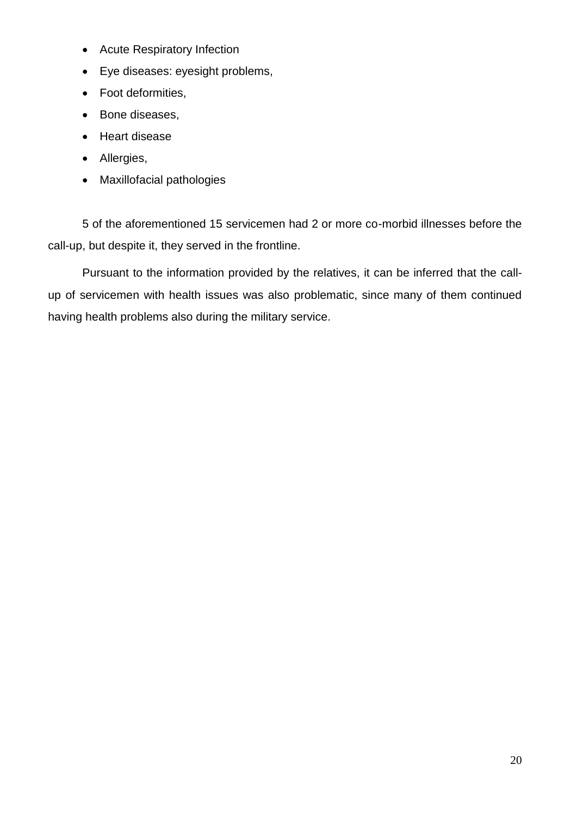- Acute Respiratory Infection
- Eye diseases: eyesight problems,
- Foot deformities,
- Bone diseases,
- [Heart disease](https://www.google.am/url?sa=t&rct=j&q=&esrc=s&source=web&cd=1&cad=rja&uact=8&ved=0ahUKEwiCsfvVpL3QAhXBkSwKHd-bA8YQFggZMAA&url=http%3A%2F%2Fwww.mayoclinic.org%2Fdiseases-conditions%2Fheart-disease%2Fbasics%2Fdefinition%2Fcon-20034056&usg=AFQjCNEBMmgF5ZASZzMr7-oRe8OHifr4dg)
- Allergies,
- Maxillofacial pathologies

5 of the aforementioned 15 servicemen had 2 or more co-morbid illnesses before the call-up, but despite it, they served in the frontline.

Pursuant to the information provided by the relatives, it can be inferred that the callup of servicemen with health issues was also problematic, since many of them continued having health problems also during the military service.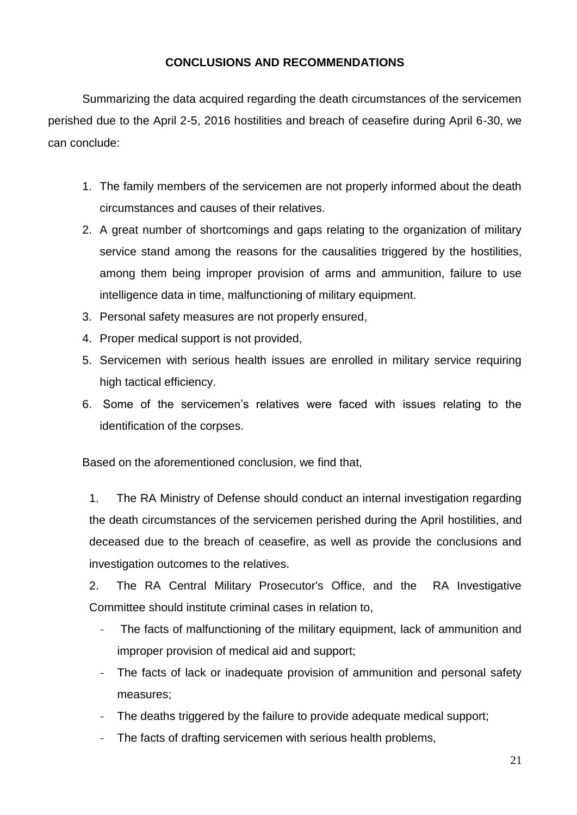### **CONCLUSIONS AND RECOMMENDATIONS**

Summarizing the data acquired regarding the death circumstances of the servicemen perished due to the April 2-5, 2016 hostilities and breach of ceasefire during April 6-30, we can conclude:

- 1. The family members of the servicemen are not properly informed about the death circumstances and causes of their relatives.
- 2. A great number of shortcomings and gaps relating to the organization of military service stand among the reasons for the causalities triggered by the hostilities, among them being improper provision of arms and ammunition, failure to use intelligence data in time, malfunctioning of military equipment.
- 3. Personal safety measures are not properly ensured,
- 4. Proper medical support is not provided,
- 5. Servicemen with serious health issues are enrolled in military service requiring high tactical efficiency.
- 6. Some of the servicemen's relatives were faced with issues relating to the identification of the corpses.

Based on the aforementioned conclusion, we find that,

1. The RA Ministry of Defense should conduct an internal investigation regarding the death circumstances of the servicemen perished during the April hostilities, and deceased due to the breach of ceasefire, as well as provide the conclusions and investigation outcomes to the relatives.

2. The RA Central Military Prosecutor's Office, and the RA Investigative Committee should institute criminal cases in relation to,

- The facts of malfunctioning of the military equipment, lack of ammunition and improper provision of medical aid and support;
- The facts of lack or inadequate provision of ammunition and personal safety measures;
- The deaths triggered by the failure to provide adequate medical support;
- The facts of drafting servicemen with serious health problems,